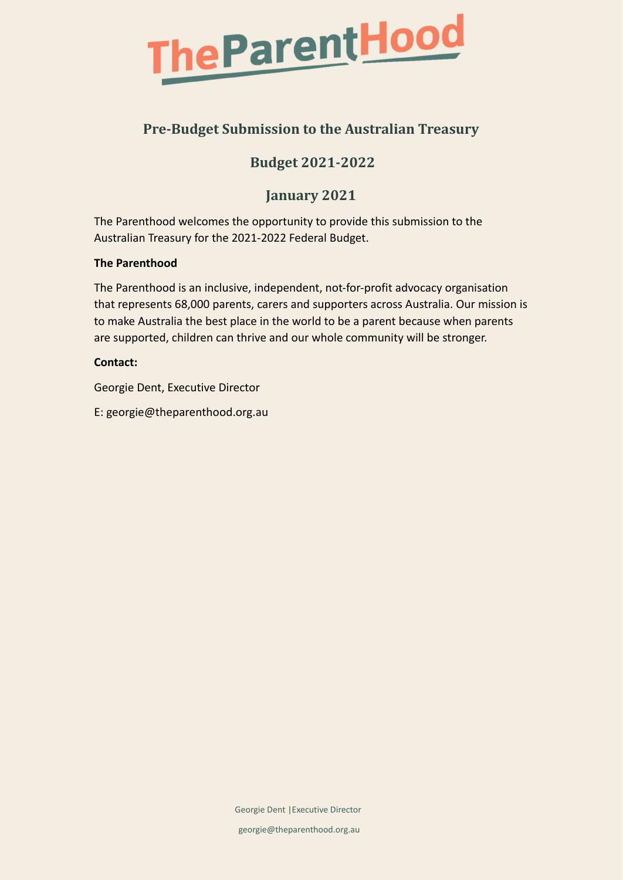

## **Pre-Budget Submission to the Australian Treasury**

## **Budget 2021-2022**

## **January 2021**

The Parenthood welcomes the opportunity to provide this submission to the Australian Treasury for the 2021-2022 Federal Budget.

#### **The Parenthood**

The Parenthood is an inclusive, independent, not-for-profit advocacy organisation that represents 68,000 parents, carers and supporters across Australia. Our mission is to make Australia the best place in the world to be a parent because when parents are supported, children can thrive and our whole community will be stronger.

#### **Contact:**

Georgie Dent, Executive Director

E: georgie@theparenthood.org.au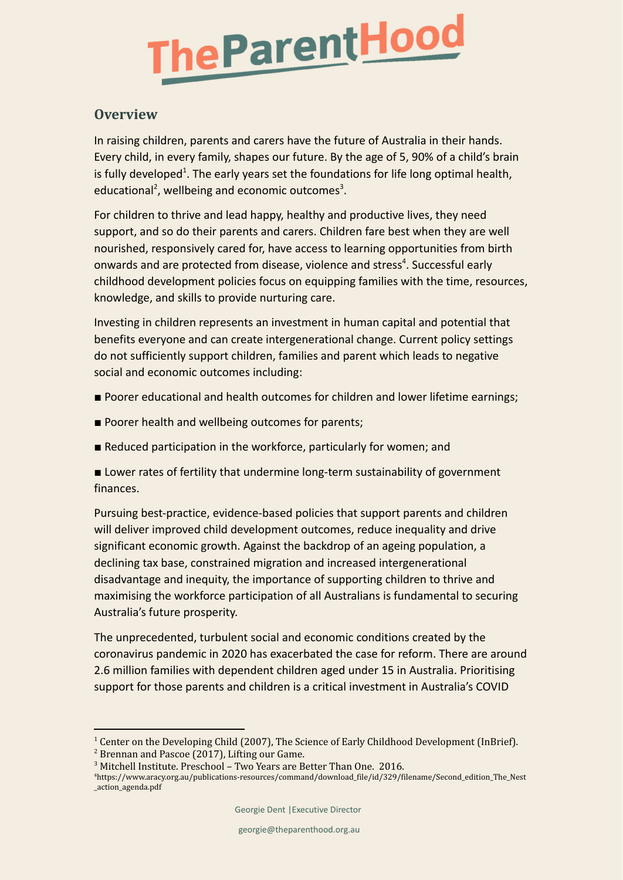

#### **Overview**

In raising children, parents and carers have the future of Australia in their hands. Every child, in every family, shapes our future. By the age of 5, 90% of a child's brain is fully developed<sup>1</sup>. The early years set the foundations for life long optimal health, educational<sup>2</sup>, wellbeing and economic outcomes<sup>3</sup>.

For children to thrive and lead happy, healthy and productive lives, they need support, and so do their parents and carers. Children fare best when they are well nourished, responsively cared for, have access to learning opportunities from birth onwards and are protected from disease, violence and stress<sup>4</sup>. Successful early childhood development policies focus on equipping families with the time, resources, knowledge, and skills to provide nurturing care.

Investing in children represents an investment in human capital and potential that benefits everyone and can create intergenerational change. Current policy settings do not sufficiently support children, families and parent which leads to negative social and economic outcomes including:

- Poorer educational and health outcomes for children and lower lifetime earnings;
- Poorer health and wellbeing outcomes for parents;
- Reduced participation in the workforce, particularly for women; and
- Lower rates of fertility that undermine long-term sustainability of government finances.

Pursuing best-practice, evidence-based policies that support parents and children will deliver improved child development outcomes, reduce inequality and drive significant economic growth. Against the backdrop of an ageing population, a declining tax base, constrained migration and increased intergenerational disadvantage and inequity, the importance of supporting children to thrive and maximising the workforce participation of all Australians is fundamental to securing Australia's future prosperity.

The unprecedented, turbulent social and economic conditions created by the coronavirus pandemic in 2020 has exacerbated the case for reform. There are around 2.6 million families with dependent children aged under 15 in Australia. Prioritising support for those parents and children is a critical investment in Australia's COVID

<sup>&</sup>lt;sup>1</sup> Center on the Developing Child (2007), The Science of Early Childhood Development (InBrief).

<sup>2</sup> Brennan and Pascoe (2017), Lifting our Game.

<sup>3</sup> Mitchell Institute. Preschool – Two Years are Better Than One. 2016.

<sup>4</sup>https://www.aracy.org.au/publications-resources/command/download\_file/id/329/filename/Second\_edition\_The\_Nest \_action\_agenda.pdf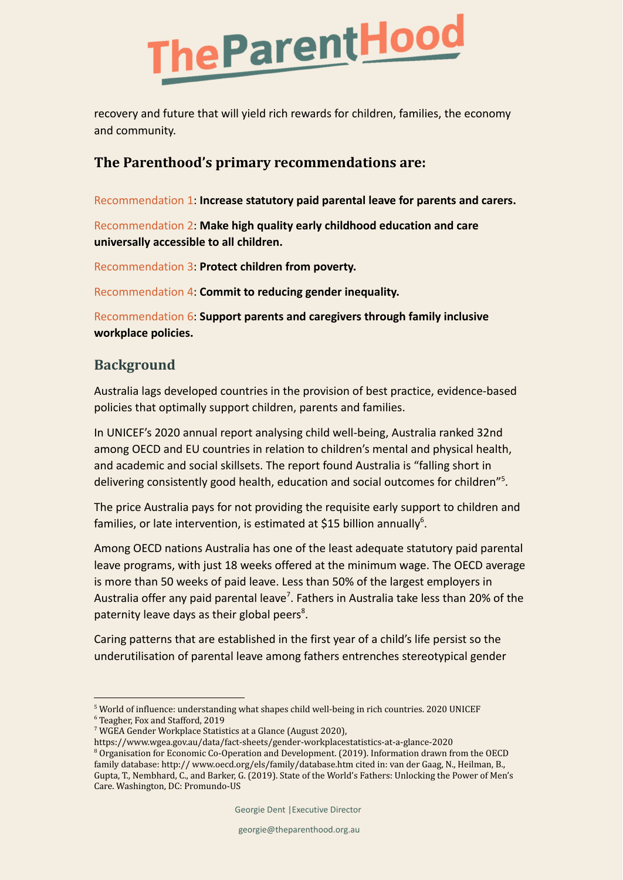

recovery and future that will yield rich rewards for children, families, the economy and community.

### **The Parenthood's primary recommendations are:**

Recommendation 1: **Increase statutory paid parental leave for parents and carers.**

Recommendation 2: **Make high quality early childhood education and care universally accessible to all children.**

Recommendation 3: **Protect children from poverty.**

Recommendation 4: **Commit to reducing gender inequality.**

Recommendation 6: **Support parents and caregivers through family inclusive workplace policies.**

## **Background**

Australia lags developed countries in the provision of best practice, evidence-based policies that optimally support children, parents and families.

In UNICEF's 2020 annual report analysing child well-being, Australia ranked 32nd among OECD and EU countries in relation to children's mental and physical health, and academic and social skillsets. The report found Australia is "falling short in delivering consistently good health, education and social outcomes for children"<sup>5</sup>.

The price Australia pays for not providing the requisite early support to children and families, or late intervention, is estimated at \$15 billion annually<sup>6</sup>.

Among OECD nations Australia has one of the least adequate statutory paid parental leave programs, with just 18 weeks offered at the minimum wage. The OECD average is more than 50 weeks of paid leave. Less than 50% of the largest employers in Australia offer any paid parental leave<sup>7</sup>. Fathers in Australia take less than 20% of the paternity leave days as their global peers<sup>8</sup>.

Caring patterns that are established in the first year of a child's life persist so the underutilisation of parental leave among fathers entrenches stereotypical gender

<sup>5</sup> World of influence: understanding what shapes child well-being in rich countries. 2020 UNICEF

<sup>6</sup> Teagher, Fox and Stafford, 2019

<sup>7</sup> WGEA Gender Workplace Statistics at a Glance (August 2020),

https://www.wgea.gov.au/data/fact-sheets/gender-workplacestatistics-at-a-glance-2020

<sup>&</sup>lt;sup>8</sup> Organisation for Economic Co-Operation and Development. (2019). Information drawn from the OECD family database: http:// www.oecd.org/els/family/database.htm cited in: van der Gaag, N., Heilman, B., Gupta, T., Nembhard, C., and Barker, G. (2019). State of the World's Fathers: Unlocking the Power of Men's Care. Washington, DC: Promundo-US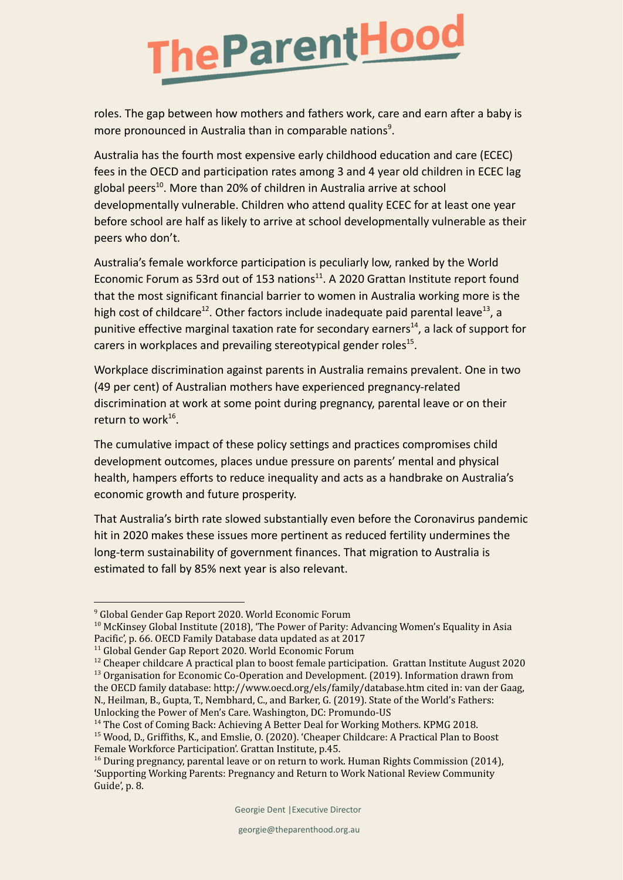# heParentHood

roles. The gap between how mothers and fathers work, care and earn after a baby is more pronounced in Australia than in comparable nations<sup>9</sup>.

Australia has the fourth most expensive early childhood education and care (ECEC) fees in the OECD and participation rates among 3 and 4 year old children in ECEC lag global peers<sup>10</sup>. More than 20% of children in Australia arrive at school developmentally vulnerable. Children who attend quality ECEC for at least one year before school are half as likely to arrive at school developmentally vulnerable as their peers who don't.

Australia's female workforce participation is peculiarly low, ranked by the World Economic Forum as 53rd out of 153 nations<sup>11</sup>. A 2020 Grattan Institute report found that the most significant financial barrier to women in Australia working more is the high cost of childcare<sup>12</sup>. Other factors include inadequate paid parental leave<sup>13</sup>, a punitive effective marginal taxation rate for secondary earners<sup>14</sup>, a lack of support for carers in workplaces and prevailing stereotypical gender roles<sup>15</sup>.

Workplace discrimination against parents in Australia remains prevalent. One in two (49 per cent) of Australian mothers have experienced pregnancy-related discrimination at work at some point during pregnancy, parental leave or on their return to work<sup>16</sup>.

The cumulative impact of these policy settings and practices compromises child development outcomes, places undue pressure on parents' mental and physical health, hampers efforts to reduce inequality and acts as a handbrake on Australia's economic growth and future prosperity.

That Australia's birth rate slowed substantially even before the Coronavirus pandemic hit in 2020 makes these issues more pertinent as reduced fertility undermines the long-term sustainability of government finances. That migration to Australia is estimated to fall by 85% next year is also relevant.

<sup>9</sup> Global Gender Gap Report 2020. World Economic Forum

<sup>&</sup>lt;sup>10</sup> McKinsey Global Institute (2018), 'The Power of Parity: Advancing Women's Equality in Asia Pacific', p. 66. OECD Family Database data updated as at 2017

<sup>&</sup>lt;sup>11</sup> Global Gender Gap Report 2020. World Economic Forum

<sup>&</sup>lt;sup>13</sup> Organisation for Economic Co-Operation and Development. (2019). Information drawn from  $12$  Cheaper childcare A practical plan to boost female participation. Grattan Institute August 2020

the OECD family database: http://www.oecd.org/els/family/database.htm cited in: van der Gaag, N., Heilman, B., Gupta, T., Nembhard, C., and Barker, G. (2019). State of the World's Fathers: Unlocking the Power of Men's Care. Washington, DC: Promundo-US

<sup>15</sup> Wood, D., Griffiths, K., and Emslie, O. (2020). 'Cheaper Childcare: A Practical Plan to Boost Female Workforce Participation'. Grattan Institute, p.45. <sup>14</sup> The Cost of Coming Back: Achieving A Better Deal for Working Mothers. KPMG 2018.

 $16$  During pregnancy, parental leave or on return to work. Human Rights Commission (2014), 'Supporting Working Parents: Pregnancy and Return to Work National Review Community Guide', p. 8.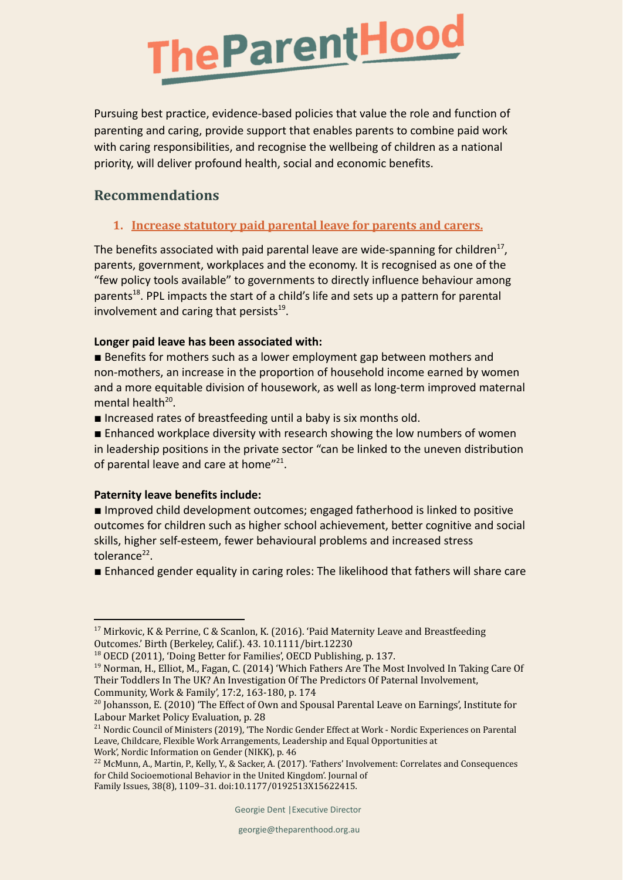

Pursuing best practice, evidence-based policies that value the role and function of parenting and caring, provide support that enables parents to combine paid work with caring responsibilities, and recognise the wellbeing of children as a national priority, will deliver profound health, social and economic benefits.

### **Recommendations**

#### **1. Increase statutory paid parental leave for parents and carers.**

The benefits associated with paid parental leave are wide-spanning for children<sup>17</sup>, parents, government, workplaces and the economy. It is recognised as one of the "few policy tools available" to governments to directly influence behaviour among parents<sup>18</sup>. PPL impacts the start of a child's life and sets up a pattern for parental involvement and caring that persists<sup>19</sup>.

#### **Longer paid leave has been associated with:**

■ Benefits for mothers such as a lower employment gap between mothers and non-mothers, an increase in the proportion of household income earned by women and a more equitable division of housework, as well as long-term improved maternal mental health<sup>20</sup>.

■ Increased rates of breastfeeding until a baby is six months old.

■ Enhanced workplace diversity with research showing the low numbers of women in leadership positions in the private sector "can be linked to the uneven distribution of parental leave and care at home"<sup>21</sup>.

#### **Paternity leave benefits include:**

■ Improved child development outcomes; engaged fatherhood is linked to positive outcomes for children such as higher school achievement, better cognitive and social skills, higher self-esteem, fewer behavioural problems and increased stress tolerance<sup>22</sup>.

■ Enhanced gender equality in caring roles: The likelihood that fathers will share care

<sup>18</sup> OECD (2011), 'Doing Better for Families', OECD Publishing, p. 137.

<sup>&</sup>lt;sup>17</sup> Mirkovic, K & Perrine, C & Scanlon, K. (2016). 'Paid Maternity Leave and Breastfeeding Outcomes.' Birth (Berkeley, Calif.). 43. 10.1111/birt.12230

<sup>19</sup> Norman, H., Elliot, M., Fagan, C. (2014) 'Which Fathers Are The Most Involved In Taking Care Of Their Toddlers In The UK? An Investigation Of The Predictors Of Paternal Involvement, Community, Work & Family', 17:2, 163-180, p. 174

<sup>&</sup>lt;sup>20</sup> Johansson, E. (2010) 'The Effect of Own and Spousal Parental Leave on Earnings', Institute for Labour Market Policy Evaluation, p. 28

<sup>&</sup>lt;sup>21</sup> Nordic Council of Ministers (2019), 'The Nordic Gender Effect at Work - Nordic Experiences on Parental Leave, Childcare, Flexible Work Arrangements, Leadership and Equal Opportunities at Work', Nordic Information on Gender (NIKK), p. 46

<sup>&</sup>lt;sup>22</sup> McMunn, A., Martin, P., Kelly, Y., & Sacker, A. (2017). 'Fathers' Involvement: Correlates and Consequences for Child Socioemotional Behavior in the United Kingdom'. Journal of Family Issues, 38(8), 1109–31. doi:10.1177/0192513X15622415.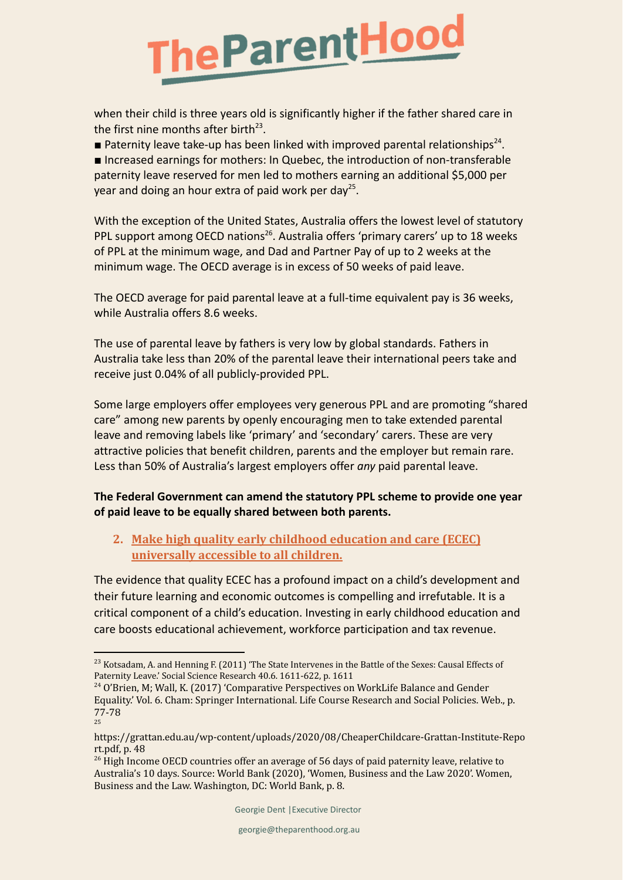

when their child is three years old is significantly higher if the father shared care in the first nine months after birth<sup>23</sup>.

**Paternity leave take-up has been linked with improved parental relationships**<sup>24</sup>.

■ Increased earnings for mothers: In Quebec, the introduction of non-transferable paternity leave reserved for men led to mothers earning an additional \$5,000 per year and doing an hour extra of paid work per day<sup>25</sup>.

With the exception of the United States, Australia offers the lowest level of statutory PPL support among OECD nations<sup>26</sup>. Australia offers 'primary carers' up to 18 weeks of PPL at the minimum wage, and Dad and Partner Pay of up to 2 weeks at the minimum wage. The OECD average is in excess of 50 weeks of paid leave.

The OECD average for paid parental leave at a full-time equivalent pay is 36 weeks, while Australia offers 8.6 weeks.

The use of parental leave by fathers is very low by global standards. Fathers in Australia take less than 20% of the parental leave their international peers take and receive just 0.04% of all publicly-provided PPL.

Some large employers offer employees very generous PPL and are promoting "shared care" among new parents by openly encouraging men to take extended parental leave and removing labels like 'primary' and 'secondary' carers. These are very attractive policies that benefit children, parents and the employer but remain rare. Less than 50% of Australia's largest employers offer *any* paid parental leave.

#### **The Federal Government can amend the statutory PPL scheme to provide one year of paid leave to be equally shared between both parents.**

#### **2. Make high quality early childhood education and care (ECEC) universally accessible to all children.**

The evidence that quality ECEC has a profound impact on a child's development and their future learning and economic outcomes is compelling and irrefutable. It is a critical component of a child's education. Investing in early childhood education and care boosts educational achievement, workforce participation and tax revenue.

<sup>&</sup>lt;sup>23</sup> Kotsadam, A. and Henning F. (2011) 'The State Intervenes in the Battle of the Sexes: Causal Effects of Paternity Leave.' Social Science Research 40.6. 1611-622, p. 1611

<sup>25</sup> <sup>24</sup> O'Brien, M; Wall, K. (2017) 'Comparative Perspectives on WorkLife Balance and Gender Equality.' Vol. 6. Cham: Springer International. Life Course Research and Social Policies. Web., p. 77-78

https://grattan.edu.au/wp-content/uploads/2020/08/CheaperChildcare-Grattan-Institute-Repo rt.pdf, p. 48

 $^{26}$  High Income OECD countries offer an average of 56 days of paid paternity leave, relative to Australia's 10 days. Source: World Bank (2020), 'Women, Business and the Law 2020'. Women, Business and the Law. Washington, DC: World Bank, p. 8.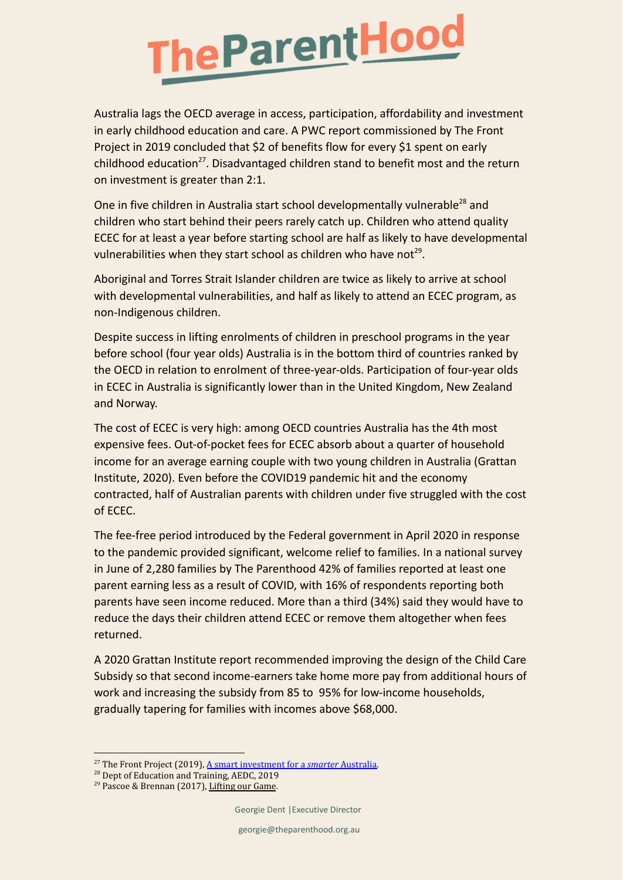

Australia lags the OECD average in access, participation, affordability and investment in early childhood education and care. A PWC report commissioned by The Front Project in 2019 concluded that \$2 of benefits flow for every \$1 spent on early childhood education<sup>27</sup>. Disadvantaged children stand to benefit most and the return on investment is greater than 2:1.

One in five children in Australia start school developmentally vulnerable<sup>28</sup> and children who start behind their peers rarely catch up. Children who attend quality ECEC for at least a year before starting school are half as likely to have developmental vulnerabilities when they start school as children who have not<sup>29</sup>.

Aboriginal and Torres Strait Islander children are twice as likely to arrive at school with developmental vulnerabilities, and half as likely to attend an ECEC program, as non-Indigenous children.

Despite success in lifting enrolments of children in preschool programs in the year before school (four year olds) Australia is in the bottom third of countries ranked by the OECD in relation to enrolment of three-year-olds. Participation of four-year olds in ECEC in Australia is significantly lower than in the United Kingdom, New Zealand and Norway.

The cost of ECEC is very high: among OECD countries Australia has the 4th most expensive fees. Out-of-pocket fees for ECEC absorb about a quarter of household income for an average earning couple with two young children in Australia (Grattan Institute, 2020). Even before the COVID19 pandemic hit and the economy contracted, half of Australian parents with children under five struggled with the cost of ECEC.

The fee-free period introduced by the Federal government in April 2020 in response to the pandemic provided significant, welcome relief to families. In a national survey in June of 2,280 families by The Parenthood 42% of families reported at least one parent earning less as a result of COVID, with 16% of respondents reporting both parents have seen income reduced. More than a third (34%) said they would have to reduce the days their children attend ECEC or remove them altogether when fees returned.

A 2020 Grattan Institute report recommended improving the design of the Child Care Subsidy so that second income-earners take home more pay from additional hours of work and increasing the subsidy from 85 to 95% for low-income households, gradually tapering for families with incomes above \$68,000.

<sup>27</sup> The Front Project (2019), [A smart investment for](https://www.thefrontproject.org.au/images/downloads/Cost-benefit%20analysis_brochure.pdf) a *smarter* Australia.

<sup>&</sup>lt;sup>28</sup> Dept of Education and Training, AEDC, 2019

<sup>&</sup>lt;sup>29</sup> Pascoe & Brennan (2017), [Lifting our Game](https://earlychildhood.qld.gov.au/aboutUs/Documents/lifting-our-game-report.pdf).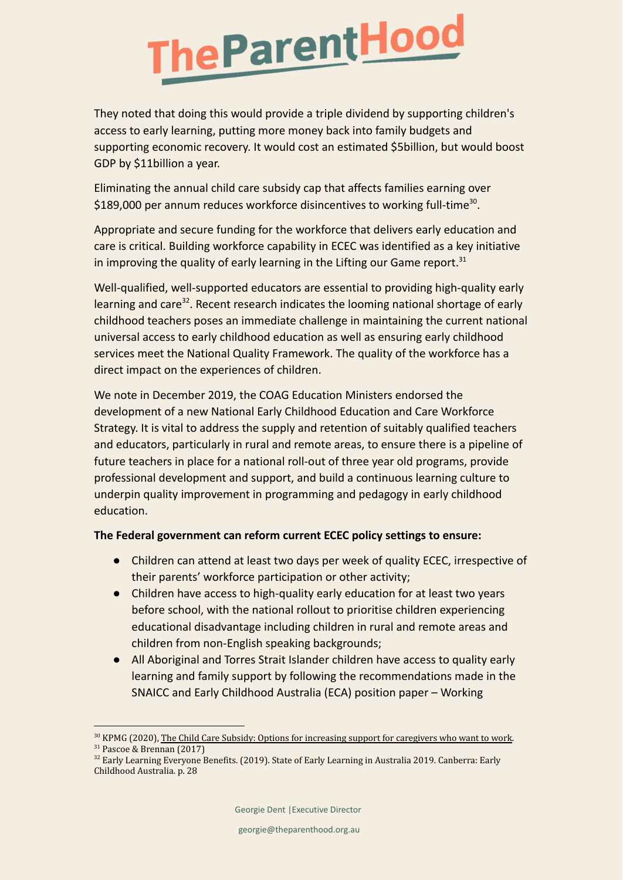# **TheParentHood**

They noted that doing this would provide a triple dividend by supporting children's access to early learning, putting more money back into family budgets and supporting economic recovery. It would cost an estimated \$5billion, but would boost GDP by \$11billion a year.

Eliminating the annual child care subsidy cap that affects families earning over \$189,000 per annum reduces workforce disincentives to working full-time<sup>30</sup>.

Appropriate and secure funding for the workforce that delivers early education and care is critical. Building workforce capability in ECEC was identified as a key initiative in improving the quality of early learning in the Lifting our Game report. $31$ 

Well-qualified, well-supported educators are essential to providing high-quality early learning and care<sup>32</sup>. Recent research indicates the looming national shortage of early childhood teachers poses an immediate challenge in maintaining the current national universal access to early childhood education as well as ensuring early childhood services meet the National Quality Framework. The quality of the workforce has a direct impact on the experiences of children.

We note in December 2019, the COAG Education Ministers endorsed the development of a new National Early Childhood Education and Care Workforce Strategy. It is vital to address the supply and retention of suitably qualified teachers and educators, particularly in rural and remote areas, to ensure there is a pipeline of future teachers in place for a national roll-out of three year old programs, provide professional development and support, and build a continuous learning culture to underpin quality improvement in programming and pedagogy in early childhood education.

#### **The Federal government can reform current ECEC policy settings to ensure:**

- Children can attend at least two days per week of quality ECEC, irrespective of their parents' workforce participation or other activity;
- Children have access to high-quality early education for at least two years before school, with the national rollout to prioritise children experiencing educational disadvantage including children in rural and remote areas and children from non-English speaking backgrounds;
- All Aboriginal and Torres Strait Islander children have access to quality early learning and family support by following the recommendations made in the SNAICC and Early Childhood Australia (ECA) position paper – Working

<sup>31</sup> Pascoe & Brennan (2017) <sup>30</sup> KPMG (2020), The Child Care Subsidy: Options for [increasing support for caregivers who want to work](https://assets.kpmg/content/dam/kpmg/au/pdf/2020/kpmg-child-care-subsidy-report.pdf).

<sup>&</sup>lt;sup>32</sup> Early Learning Everyone Benefits. (2019). State of Early Learning in Australia 2019. Canberra: Early Childhood Australia. p. 28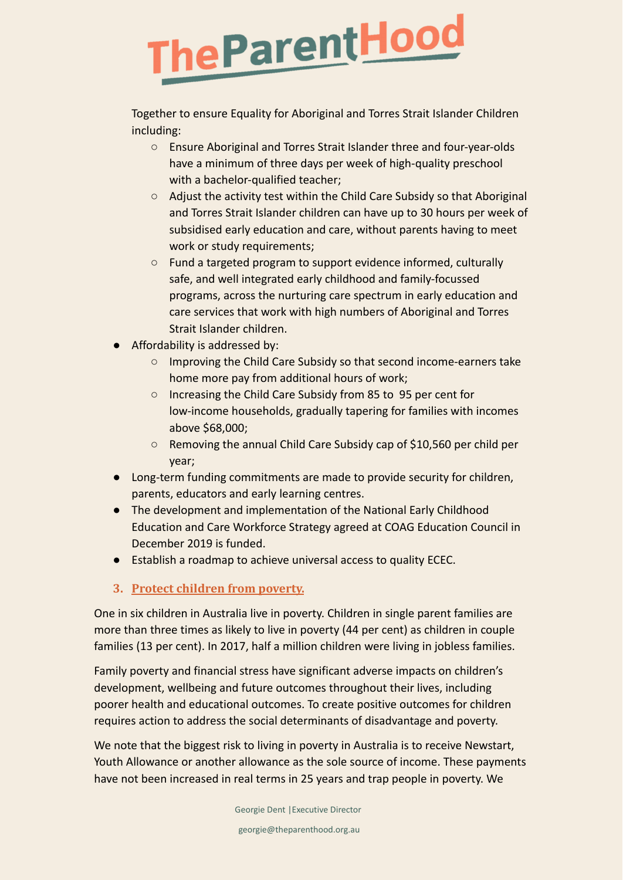## **TheParentHood**

Together to ensure Equality for Aboriginal and Torres Strait Islander Children including:

- Ensure Aboriginal and Torres Strait Islander three and four-year-olds have a minimum of three days per week of high-quality preschool with a bachelor-qualified teacher;
- Adjust the activity test within the Child Care Subsidy so that Aboriginal and Torres Strait Islander children can have up to 30 hours per week of subsidised early education and care, without parents having to meet work or study requirements;
- Fund a targeted program to support evidence informed, culturally safe, and well integrated early childhood and family-focussed programs, across the nurturing care spectrum in early education and care services that work with high numbers of Aboriginal and Torres Strait Islander children.
- Affordability is addressed by:
	- Improving the Child Care Subsidy so that second income-earners take home more pay from additional hours of work;
	- Increasing the Child Care Subsidy from 85 to 95 per cent for low-income households, gradually tapering for families with incomes above \$68,000;
	- Removing the annual Child Care Subsidy cap of \$10,560 per child per year;
- Long-term funding commitments are made to provide security for children, parents, educators and early learning centres.
- The development and implementation of the National Early Childhood Education and Care Workforce Strategy agreed at COAG Education Council in December 2019 is funded.
- Establish a roadmap to achieve universal access to quality ECEC.
- **3. Protect children from poverty.**

One in six children in Australia live in poverty. Children in single parent families are more than three times as likely to live in poverty (44 per cent) as children in couple families (13 per cent). In 2017, half a million children were living in jobless families.

Family poverty and financial stress have significant adverse impacts on children's development, wellbeing and future outcomes throughout their lives, including poorer health and educational outcomes. To create positive outcomes for children requires action to address the social determinants of disadvantage and poverty.

We note that the biggest risk to living in poverty in Australia is to receive Newstart, Youth Allowance or another allowance as the sole source of income. These payments have not been increased in real terms in 25 years and trap people in poverty. We

Georgie Dent |Executive Director

georgie@theparenthood.org.au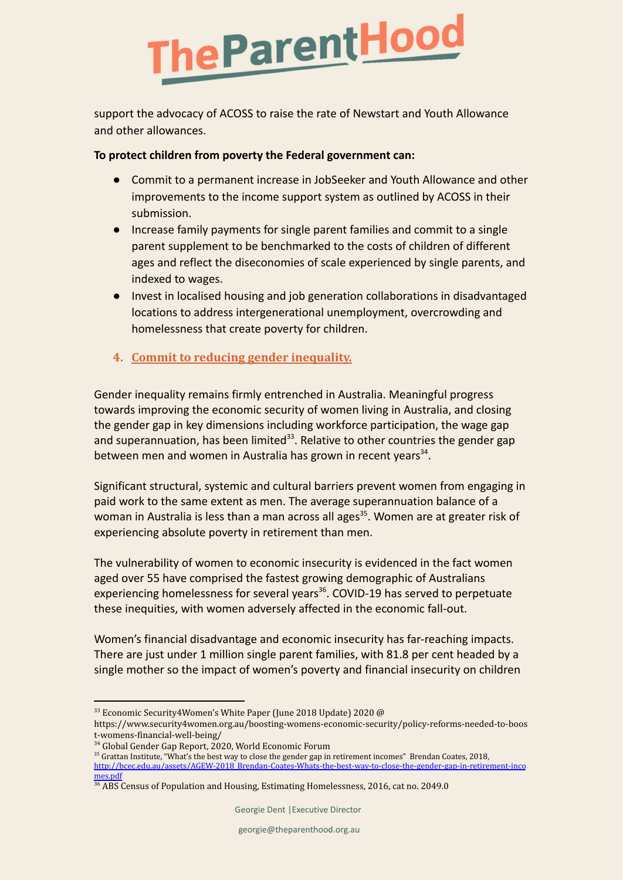

support the advocacy of ACOSS to raise the rate of Newstart and Youth Allowance and other allowances.

#### **To protect children from poverty the Federal government can:**

- Commit to a permanent increase in JobSeeker and Youth Allowance and other improvements to the income support system as outlined by ACOSS in their submission.
- Increase family payments for single parent families and commit to a single parent supplement to be benchmarked to the costs of children of different ages and reflect the diseconomies of scale experienced by single parents, and indexed to wages.
- Invest in localised housing and job generation collaborations in disadvantaged locations to address intergenerational unemployment, overcrowding and homelessness that create poverty for children.
- **4. Commit to reducing gender inequality.**

Gender inequality remains firmly entrenched in Australia. Meaningful progress towards improving the economic security of women living in Australia, and closing the gender gap in key dimensions including workforce participation, the wage gap and superannuation, has been limited<sup>33</sup>. Relative to other countries the gender gap between men and women in Australia has grown in recent years<sup>34</sup>.

Significant structural, systemic and cultural barriers prevent women from engaging in paid work to the same extent as men. The average superannuation balance of a woman in Australia is less than a man across all ages<sup>35</sup>. Women are at greater risk of experiencing absolute poverty in retirement than men.

The vulnerability of women to economic insecurity is evidenced in the fact women aged over 55 have comprised the fastest growing demographic of Australians experiencing homelessness for several years<sup>36</sup>. COVID-19 has served to perpetuate these inequities, with women adversely affected in the economic fall-out.

Women's financial disadvantage and economic insecurity has far-reaching impacts. There are just under 1 million single parent families, with 81.8 per cent headed by a single mother so the impact of women's poverty and financial insecurity on children

 $33$  Economic Security4Women's White Paper (June 2018 Update) 2020 @

https://www.security4women.org.au/boosting-womens-economic-security/policy-reforms-needed-to-boos t-womens-financial-well-being/

<sup>34</sup> Global Gender Gap Report, 2020, World Economic Forum

<sup>&</sup>lt;sup>35</sup> Grattan Institute, "What's the best way to close the gender gap in retirement incomes" Brendan Coates, 2018,

[http://bcec.edu.au/assets/AGEW-2018\\_Brendan-Coates-Whats-the-best-way-to-close-the-gender-gap-in-retirement-inco](http://bcec.edu.au/assets/AGEW-2018_Brendan-Coates-Whats-the-best-way-to-close-the-gender-gap-in-retirement-incomes.pdf) [mes.pdf](http://bcec.edu.au/assets/AGEW-2018_Brendan-Coates-Whats-the-best-way-to-close-the-gender-gap-in-retirement-incomes.pdf)

<sup>&</sup>lt;sup>36</sup> ABS Census of Population and Housing, Estimating Homelessness, 2016, cat no. 2049.0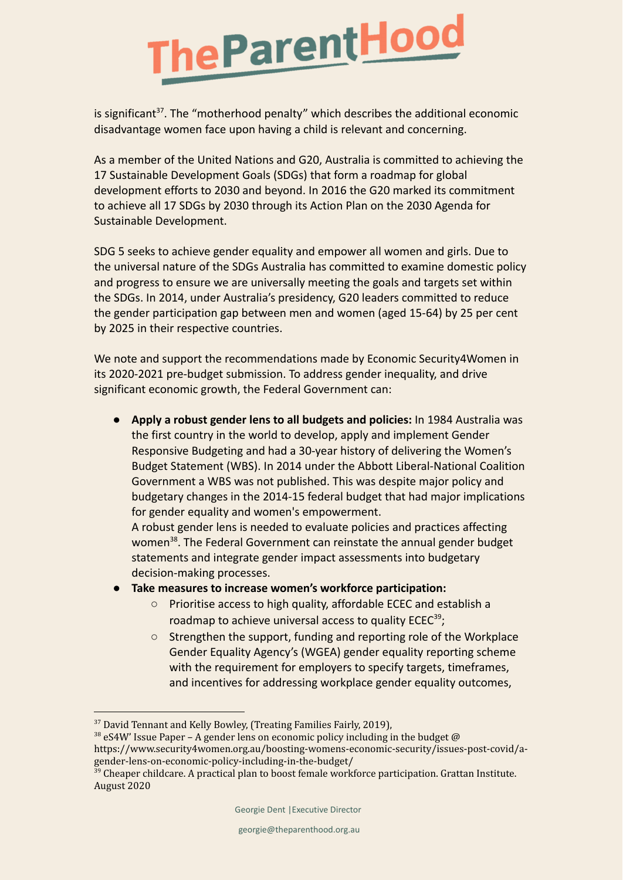

is significant<sup>37</sup>. The "motherhood penalty" which describes the additional economic disadvantage women face upon having a child is relevant and concerning.

As a member of the United Nations and G20, Australia is committed to achieving the 17 Sustainable Development Goals (SDGs) that form a roadmap for global development efforts to 2030 and beyond. In 2016 the G20 marked its commitment to achieve all 17 SDGs by 2030 through its Action Plan on the 2030 Agenda for Sustainable Development.

SDG 5 seeks to achieve gender equality and empower all women and girls. Due to the universal nature of the SDGs Australia has committed to examine domestic policy and progress to ensure we are universally meeting the goals and targets set within the SDGs. In 2014, under Australia's presidency, G20 leaders committed to reduce the gender participation gap between men and women (aged 15-64) by 25 per cent by 2025 in their respective countries.

We note and support the recommendations made by Economic Security4Women in its 2020-2021 pre-budget submission. To address gender inequality, and drive significant economic growth, the Federal Government can:

**● Apply a robust gender lens to all budgets and policies:** In 1984 Australia was the first country in the world to develop, apply and implement Gender Responsive Budgeting and had a 30-year history of delivering the Women's Budget Statement (WBS). In 2014 under the Abbott Liberal-National Coalition Government a WBS was not published. This was despite major policy and budgetary changes in the 2014-15 federal budget that had major implications for gender equality and women's empowerment.

A robust gender lens is needed to evaluate policies and practices affecting women<sup>38</sup>. The Federal Government can reinstate the annual gender budget statements and integrate gender impact assessments into budgetary decision-making processes.

- **● Take measures to increase women's workforce participation:**
	- Prioritise access to high quality, affordable ECEC and establish a roadmap to achieve universal access to quality ECEC<sup>39</sup>;
	- Strengthen the support, funding and reporting role of the Workplace Gender Equality Agency's (WGEA) gender equality reporting scheme with the requirement for employers to specify targets, timeframes, and incentives for addressing workplace gender equality outcomes,

<sup>&</sup>lt;sup>37</sup> David Tennant and Kelly Bowley, (Treating Families Fairly, 2019),

 $38$  eS4W' Issue Paper – A gender lens on economic policy including in the budget  $\omega$ https://www.security4women.org.au/boosting-womens-economic-security/issues-post-covid/agender-lens-on-economic-policy-including-in-the-budget/

 $39$  Cheaper childcare. A practical plan to boost female workforce participation. Grattan Institute. August 2020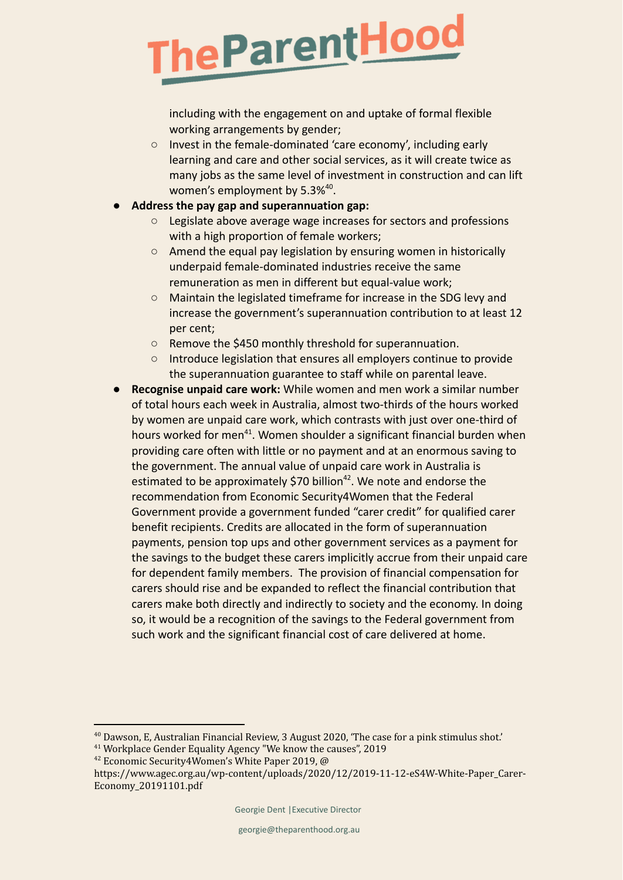## The Parent Hood

including with the engagement on and uptake of formal flexible working arrangements by gender;

- Invest in the female-dominated 'care economy', including early learning and care and other social services, as it will create twice as many jobs as the same level of investment in construction and can lift women's employment by 5.3%<sup>40</sup>.
- **● Address the pay gap and superannuation gap:**
	- Legislate above average wage increases for sectors and professions with a high proportion of female workers;
	- Amend the equal pay legislation by ensuring women in historically underpaid female-dominated industries receive the same remuneration as men in different but equal-value work;
	- Maintain the legislated timeframe for increase in the SDG levy and increase the government's superannuation contribution to at least 12 per cent;
	- Remove the \$450 monthly threshold for superannuation.
	- Introduce legislation that ensures all employers continue to provide the superannuation guarantee to staff while on parental leave.
- **Recognise unpaid care work:** While women and men work a similar number of total hours each week in Australia, almost two-thirds of the hours worked by women are unpaid care work, which contrasts with just over one-third of hours worked for men<sup>41</sup>. Women shoulder a significant financial burden when providing care often with little or no payment and at an enormous saving to the government. The annual value of unpaid care work in Australia is estimated to be approximately \$70 billion<sup>42</sup>. We note and endorse the recommendation from Economic Security4Women that the Federal Government provide a government funded "carer credit" for qualified carer benefit recipients. Credits are allocated in the form of superannuation payments, pension top ups and other government services as a payment for the savings to the budget these carers implicitly accrue from their unpaid care for dependent family members. The provision of financial compensation for carers should rise and be expanded to reflect the financial contribution that carers make both directly and indirectly to society and the economy. In doing so, it would be a recognition of the savings to the Federal government from such work and the significant financial cost of care delivered at home.

 $40$  Dawson, E, Australian Financial Review, 3 August 2020, 'The case for a pink stimulus shot.'

<sup>41</sup> Workplace Gender Equality Agency "We know the causes", 2019

<sup>42</sup> Economic Security4Women's White Paper 2019, @

https://www.agec.org.au/wp-content/uploads/2020/12/2019-11-12-eS4W-White-Paper\_Carer-Economy\_20191101.pdf

Georgie Dent |Executive Director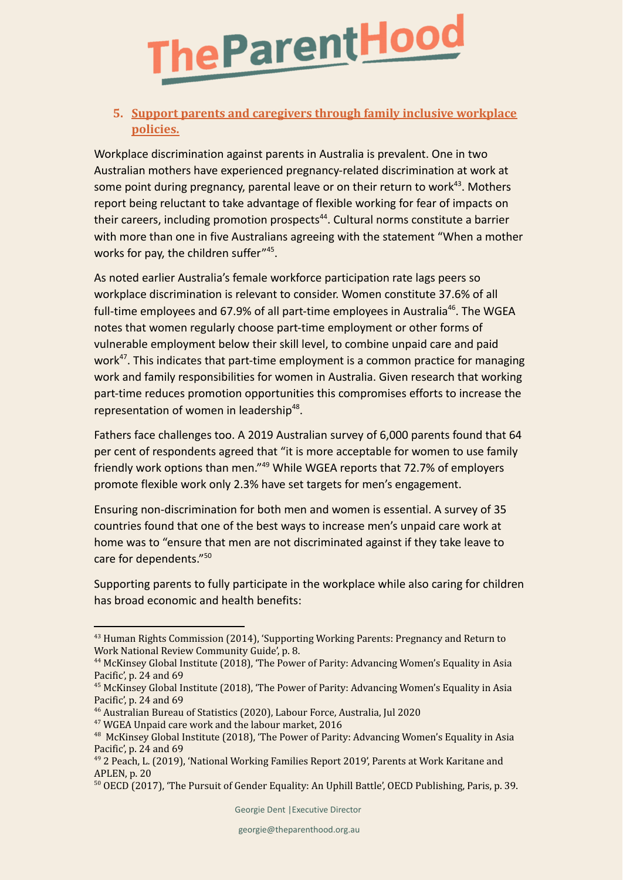

#### **5. Support parents and caregivers through family inclusive workplace policies.**

Workplace discrimination against parents in Australia is prevalent. One in two Australian mothers have experienced pregnancy-related discrimination at work at some point during pregnancy, parental leave or on their return to work<sup>43</sup>. Mothers report being reluctant to take advantage of flexible working for fear of impacts on their careers, including promotion prospects<sup>44</sup>. Cultural norms constitute a barrier with more than one in five Australians agreeing with the statement "When a mother works for pay, the children suffer"<sup>45</sup>.

As noted earlier Australia's female workforce participation rate lags peers so workplace discrimination is relevant to consider. Women constitute 37.6% of all full-time employees and 67.9% of all part-time employees in Australia<sup>46</sup>. The WGEA notes that women regularly choose part-time employment or other forms of vulnerable employment below their skill level, to combine unpaid care and paid work<sup>47</sup>. This indicates that part-time employment is a common practice for managing work and family responsibilities for women in Australia. Given research that working part-time reduces promotion opportunities this compromises efforts to increase the representation of women in leadership<sup>48</sup>.

Fathers face challenges too. A 2019 Australian survey of 6,000 parents found that 64 per cent of respondents agreed that "it is more acceptable for women to use family friendly work options than men." <sup>49</sup> While WGEA reports that 72.7% of employers promote flexible work only 2.3% have set targets for men's engagement.

Ensuring non-discrimination for both men and women is essential. A survey of 35 countries found that one of the best ways to increase men's unpaid care work at home was to "ensure that men are not discriminated against if they take leave to care for dependents." 50

Supporting parents to fully participate in the workplace while also caring for children has broad economic and health benefits:

<sup>43</sup> Human Rights Commission (2014), 'Supporting Working Parents: Pregnancy and Return to Work National Review Community Guide', p. 8.

<sup>44</sup> McKinsey Global Institute (2018), 'The Power of Parity: Advancing Women's Equality in Asia Pacific', p. 24 and 69

<sup>&</sup>lt;sup>45</sup> McKinsey Global Institute (2018), 'The Power of Parity: Advancing Women's Equality in Asia Pacific', p. 24 and 69

<sup>46</sup> Australian Bureau of Statistics (2020), Labour Force, Australia, Jul 2020

<sup>47</sup> WGEA Unpaid care work and the labour market, 2016

<sup>&</sup>lt;sup>48</sup> McKinsey Global Institute (2018), 'The Power of Parity: Advancing Women's Equality in Asia Pacific', p. 24 and 69

<sup>49</sup> 2 Peach, L. (2019), 'National Working Families Report 2019', Parents at Work Karitane and APLEN, p. 20

<sup>50</sup> OECD (2017), 'The Pursuit of Gender Equality: An Uphill Battle', OECD Publishing, Paris, p. 39.